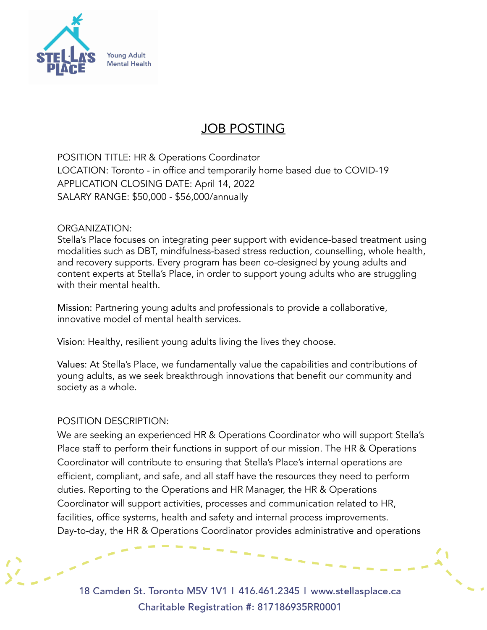

# JOB POSTING

POSITION TITLE: HR & Operations Coordinator LOCATION: Toronto - in office and temporarily home based due to COVID-19 APPLICATION CLOSING DATE: April 14, 2022 SALARY RANGE: \$50,000 - \$56,000/annually

### ORGANIZATION:

Stella's Place focuses on integrating peer support with evidence-based treatment using modalities such as DBT, mindfulness-based stress reduction, counselling, whole health, and recovery supports. Every program has been co-designed by young adults and content experts at Stella's Place, in order to support young adults who are struggling with their mental health.

Mission: Partnering young adults and professionals to provide a collaborative, innovative model of mental health services.

Vision: Healthy, resilient young adults living the lives they choose.

Values: At Stella's Place, we fundamentally value the capabilities and contributions of young adults, as we seek breakthrough innovations that benefit our community and society as a whole.

### POSITION DESCRIPTION:

We are seeking an experienced HR & Operations Coordinator who will support Stella's Place staff to perform their functions in support of our mission. The HR & Operations Coordinator will contribute to ensuring that Stella's Place's internal operations are efficient, compliant, and safe, and all staff have the resources they need to perform duties. Reporting to the Operations and HR Manager, the HR & Operations Coordinator will support activities, processes and communication related to HR, facilities, office systems, health and safety and internal process improvements. Day-to-day, the HR & Operations Coordinator provides administrative and operations

18 Camden St. Toronto M5V 1V1 | 416.461.2345 | www.stellasplace.ca Charitable Registration #: 817186935RR0001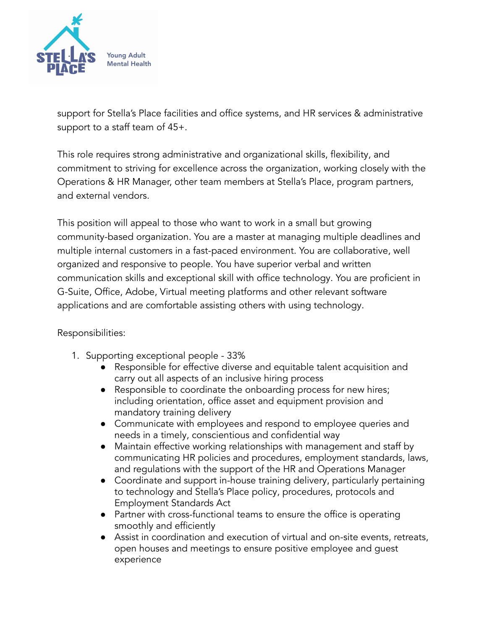

support for Stella's Place facilities and office systems, and HR services & administrative support to a staff team of 45+.

This role requires strong administrative and organizational skills, flexibility, and commitment to striving for excellence across the organization, working closely with the Operations & HR Manager, other team members at Stella's Place, program partners, and external vendors.

This position will appeal to those who want to work in a small but growing community-based organization. You are a master at managing multiple deadlines and multiple internal customers in a fast-paced environment. You are collaborative, well organized and responsive to people. You have superior verbal and written communication skills and exceptional skill with office technology. You are proficient in G-Suite, Office, Adobe, Virtual meeting platforms and other relevant software applications and are comfortable assisting others with using technology.

## Responsibilities:

- 1. Supporting exceptional people 33%
	- Responsible for effective diverse and equitable talent acquisition and carry out all aspects of an inclusive hiring process
	- Responsible to coordinate the onboarding process for new hires; including orientation, office asset and equipment provision and mandatory training delivery
	- Communicate with employees and respond to employee queries and needs in a timely, conscientious and confidential way
	- Maintain effective working relationships with management and staff by communicating HR policies and procedures, employment standards, laws, and regulations with the support of the HR and Operations Manager
	- Coordinate and support in-house training delivery, particularly pertaining to technology and Stella's Place policy, procedures, protocols and Employment Standards Act
	- Partner with cross-functional teams to ensure the office is operating smoothly and efficiently
	- Assist in coordination and execution of virtual and on-site events, retreats, open houses and meetings to ensure positive employee and guest experience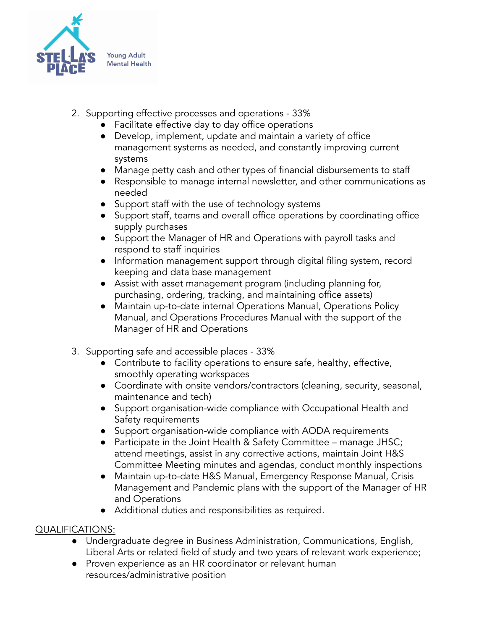

- 2. Supporting effective processes and operations 33%
	- Facilitate effective day to day office operations
		- Develop, implement, update and maintain a variety of office management systems as needed, and constantly improving current systems
		- Manage petty cash and other types of financial disbursements to staff
		- Responsible to manage internal newsletter, and other communications as needed
		- Support staff with the use of technology systems
		- Support staff, teams and overall office operations by coordinating office supply purchases
		- Support the Manager of HR and Operations with payroll tasks and respond to staff inquiries
		- Information management support through digital filing system, record keeping and data base management
		- Assist with asset management program (including planning for, purchasing, ordering, tracking, and maintaining office assets)
		- Maintain up-to-date internal Operations Manual, Operations Policy Manual, and Operations Procedures Manual with the support of the Manager of HR and Operations
- 3. Supporting safe and accessible places 33%
	- Contribute to facility operations to ensure safe, healthy, effective, smoothly operating workspaces
	- Coordinate with onsite vendors/contractors (cleaning, security, seasonal, maintenance and tech)
	- Support organisation-wide compliance with Occupational Health and Safety requirements
	- Support organisation-wide compliance with AODA requirements
	- Participate in the Joint Health & Safety Committee manage JHSC; attend meetings, assist in any corrective actions, maintain Joint H&S Committee Meeting minutes and agendas, conduct monthly inspections
	- Maintain up-to-date H&S Manual, Emergency Response Manual, Crisis Management and Pandemic plans with the support of the Manager of HR and Operations
	- Additional duties and responsibilities as required.

# QUALIFICATIONS:

- Undergraduate degree in Business Administration, Communications, English, Liberal Arts or related field of study and two years of relevant work experience;
- Proven experience as an HR coordinator or relevant human resources/administrative position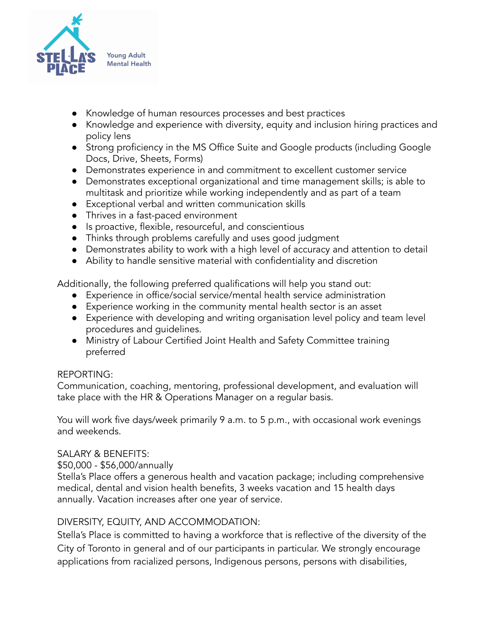

- Knowledge of human resources processes and best [practices](https://resources.workable.com/blog/hr-best-practices-su-joun)
- Knowledge and experience with diversity, equity and inclusion hiring practices and policy lens
- Strong proficiency in the MS Office Suite and Google products (including Google Docs, Drive, Sheets, Forms)
- Demonstrates experience in and commitment to excellent customer service
- Demonstrates exceptional organizational and time management skills; is able to multitask and prioritize while working independently and as part of a team
- Exceptional verbal and written communication skills
- Thrives in a fast-paced environment
- Is proactive, flexible, resourceful, and conscientious
- Thinks through problems carefully and uses good judgment
- Demonstrates ability to work with a high level of accuracy and attention to detail
- Ability to handle sensitive material with confidentiality and discretion

Additionally, the following preferred qualifications will help you stand out:

- Experience in office/social service/mental health service administration
- Experience working in the community mental health sector is an asset
- Experience with developing and writing organisation level policy and team level procedures and guidelines.
- Ministry of Labour Certified Joint Health and Safety Committee training preferred

## REPORTING:

Communication, coaching, mentoring, professional development, and evaluation will take place with the HR & Operations Manager on a regular basis.

You will work five days/week primarily 9 a.m. to 5 p.m., with occasional work evenings and weekends.

## SALARY & BENEFITS:

\$50,000 - \$56,000/annually

Stella's Place offers a generous health and vacation package; including comprehensive medical, dental and vision health benefits, 3 weeks vacation and 15 health days annually. Vacation increases after one year of service.

## DIVERSITY, EQUITY, AND ACCOMMODATION:

Stella's Place is committed to having a workforce that is reflective of the diversity of the City of Toronto in general and of our participants in particular. We strongly encourage applications from racialized persons, Indigenous persons, persons with disabilities,